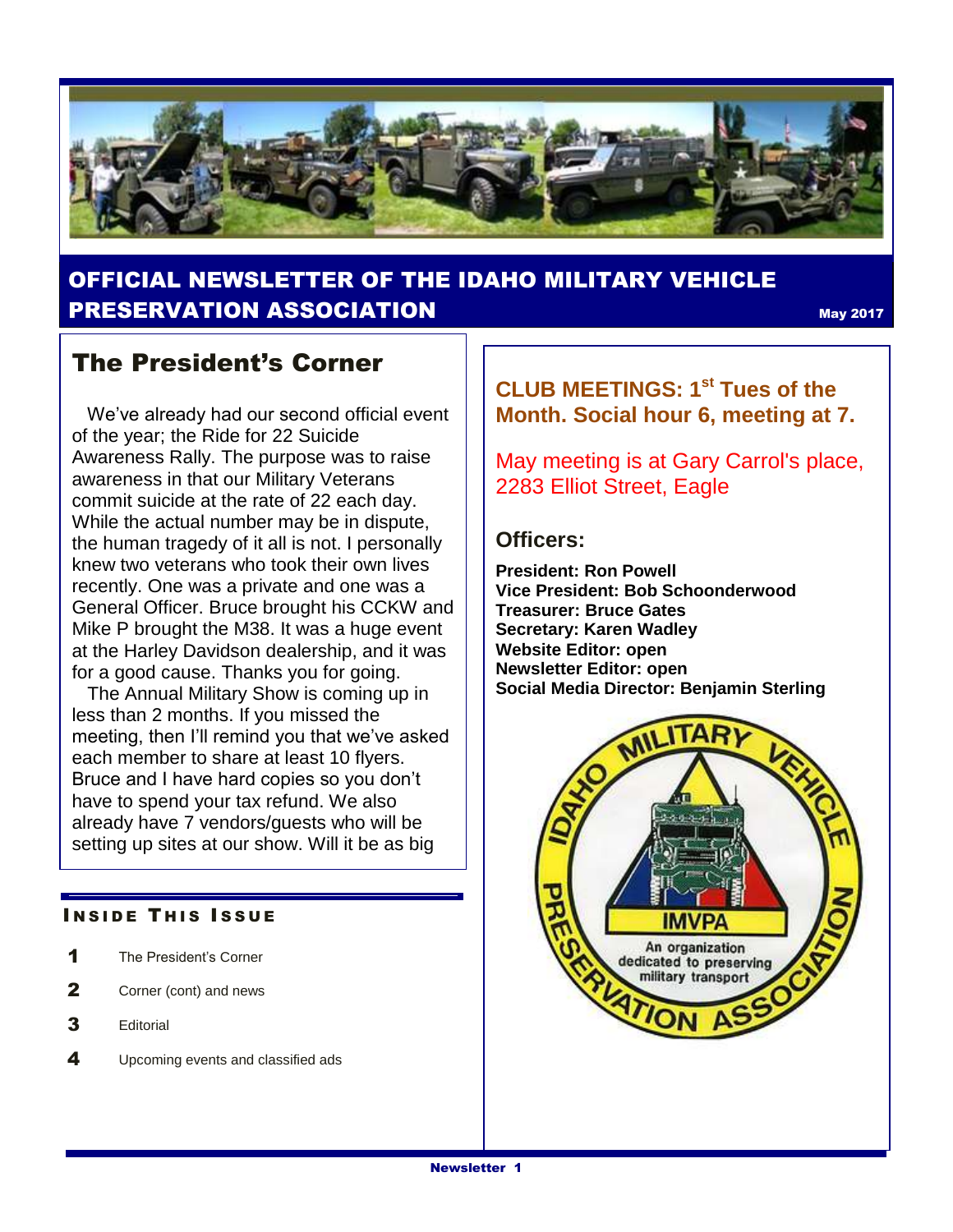

## OFFICIAL NEWSLETTER OF THE IDAHO MILITARY VEHICLE **PRESERVATION ASSOCIATION** May 2017

### The President's Corner

 We've already had our second official event of the year; the Ride for 22 Suicide Awareness Rally. The purpose was to raise awareness in that our Military Veterans commit suicide at the rate of 22 each day. While the actual number may be in dispute, the human tragedy of it all is not. I personally knew two veterans who took their own lives recently. One was a private and one was a General Officer. Bruce brought his CCKW and Mike P brought the M38. It was a huge event at the Harley Davidson dealership, and it was for a good cause. Thanks you for going.

 The Annual Military Show is coming up in less than 2 months. If you missed the meeting, then I'll remind you that we've asked each member to share at least 10 flyers. Bruce and I have hard copies so you don't have to spend your tax refund. We also already have 7 vendors/guests who will be setting up sites at our show. Will it be as big

#### **INSIDE THIS ISSUE**

- 1 The President's Corner
- 2 Corner (cont) and news
- 3 Editorial
- 4 Upcoming events and classified ads

**CLUB MEETINGS: 1st Tues of the Month. Social hour 6, meeting at 7.** 

May meeting is at Gary Carrol's place, 2283 Elliot Street, Eagle

### **Officers:**

**President: Ron Powell Vice President: Bob Schoonderwood Treasurer: Bruce Gates Secretary: Karen Wadley Website Editor: open Newsletter Editor: open Social Media Director: Benjamin Sterling**

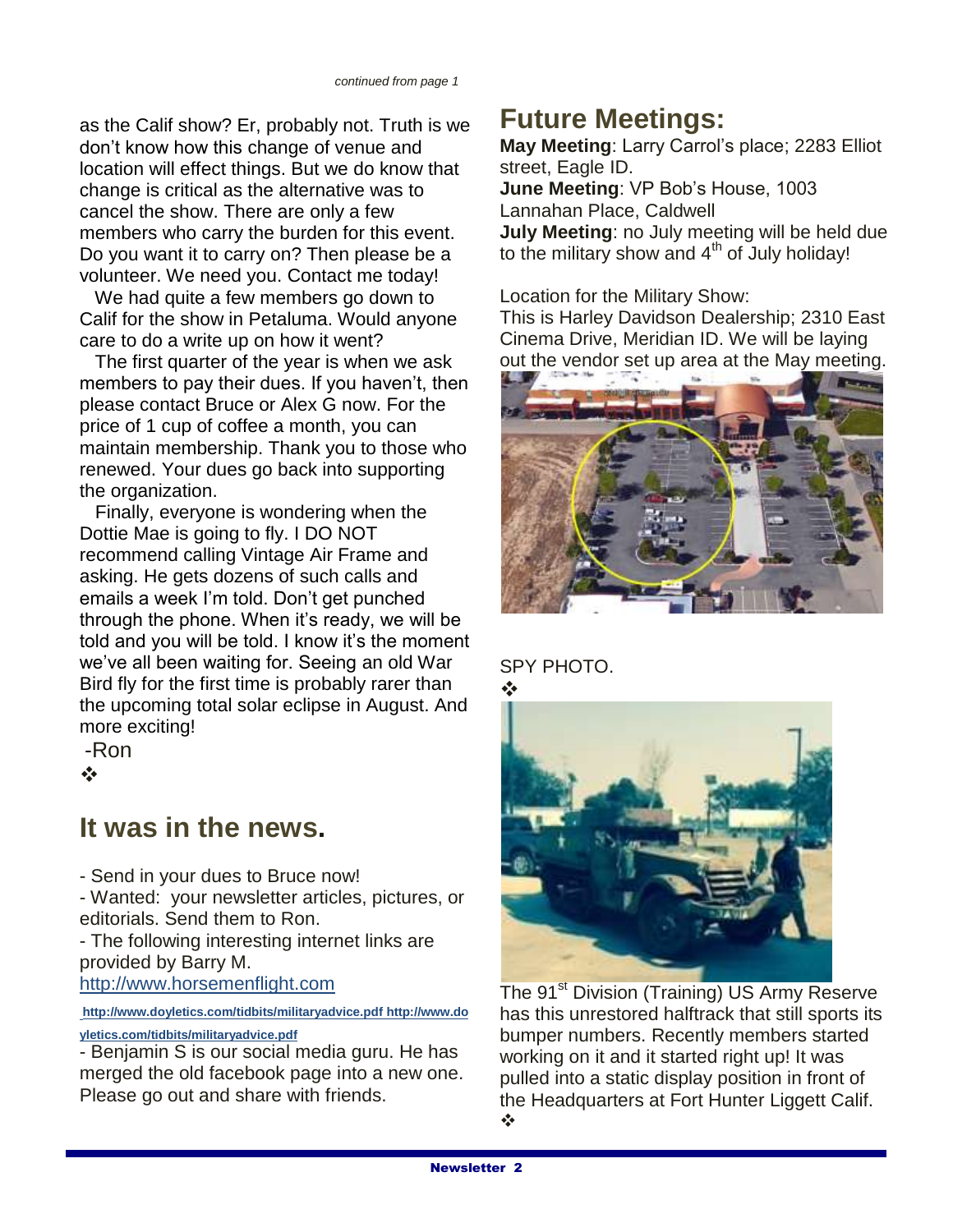as the Calif show? Er, probably not. Truth is we don't know how this change of venue and location will effect things. But we do know that change is critical as the alternative was to cancel the show. There are only a few members who carry the burden for this event. Do you want it to carry on? Then please be a volunteer. We need you. Contact me today!

 We had quite a few members go down to Calif for the show in Petaluma. Would anyone care to do a write up on how it went?

 The first quarter of the year is when we ask members to pay their dues. If you haven't, then please contact Bruce or Alex G now. For the price of 1 cup of coffee a month, you can maintain membership. Thank you to those who renewed. Your dues go back into supporting the organization.

 Finally, everyone is wondering when the Dottie Mae is going to fly. I DO NOT recommend calling Vintage Air Frame and asking. He gets dozens of such calls and emails a week I'm told. Don't get punched through the phone. When it's ready, we will be told and you will be told. I know it's the moment we've all been waiting for. Seeing an old War Bird fly for the first time is probably rarer than the upcoming total solar eclipse in August. And more exciting!

-Ron  $\frac{1}{2}$ 

# **It was in the news.**

- Send in your dues to Bruce now! - Wanted: your newsletter articles, pictures, or editorials. Send them to Ron.

- The following interesting internet links are provided by Barry M.

[http://www.horsemenflight.com](http://www.horsemenflight.com/)

**<http://www.doyletics.com/tidbits/militaryadvice.pdf> [http://www.do](http://www.doyletics.com/tidbits/militaryadvice.pdf)**

#### **[yletics.com/tidbits/militaryadvice.pdf](http://www.doyletics.com/tidbits/militaryadvice.pdf)**

- Benjamin S is our social media guru. He has merged the old facebook page into a new one. Please go out and share with friends.

# **Future Meetings:**

**May Meeting**: Larry Carrol's place; 2283 Elliot street, Eagle ID.

**June Meeting**: VP Bob's House, 1003 Lannahan Place, Caldwell **July Meeting**: no July meeting will be held due to the military show and  $4<sup>th</sup>$  of July holiday!

Location for the Military Show:

This is Harley Davidson Dealership; 2310 East Cinema Drive, Meridian ID. We will be laying out the vendor set up area at the May meeting.



### SPY PHOTO.



The 91<sup>st</sup> Division (Training) US Army Reserve has this unrestored halftrack that still sports its bumper numbers. Recently members started working on it and it started right up! It was pulled into a static display position in front of the Headquarters at Fort Hunter Liggett Calif.  $\frac{1}{2}$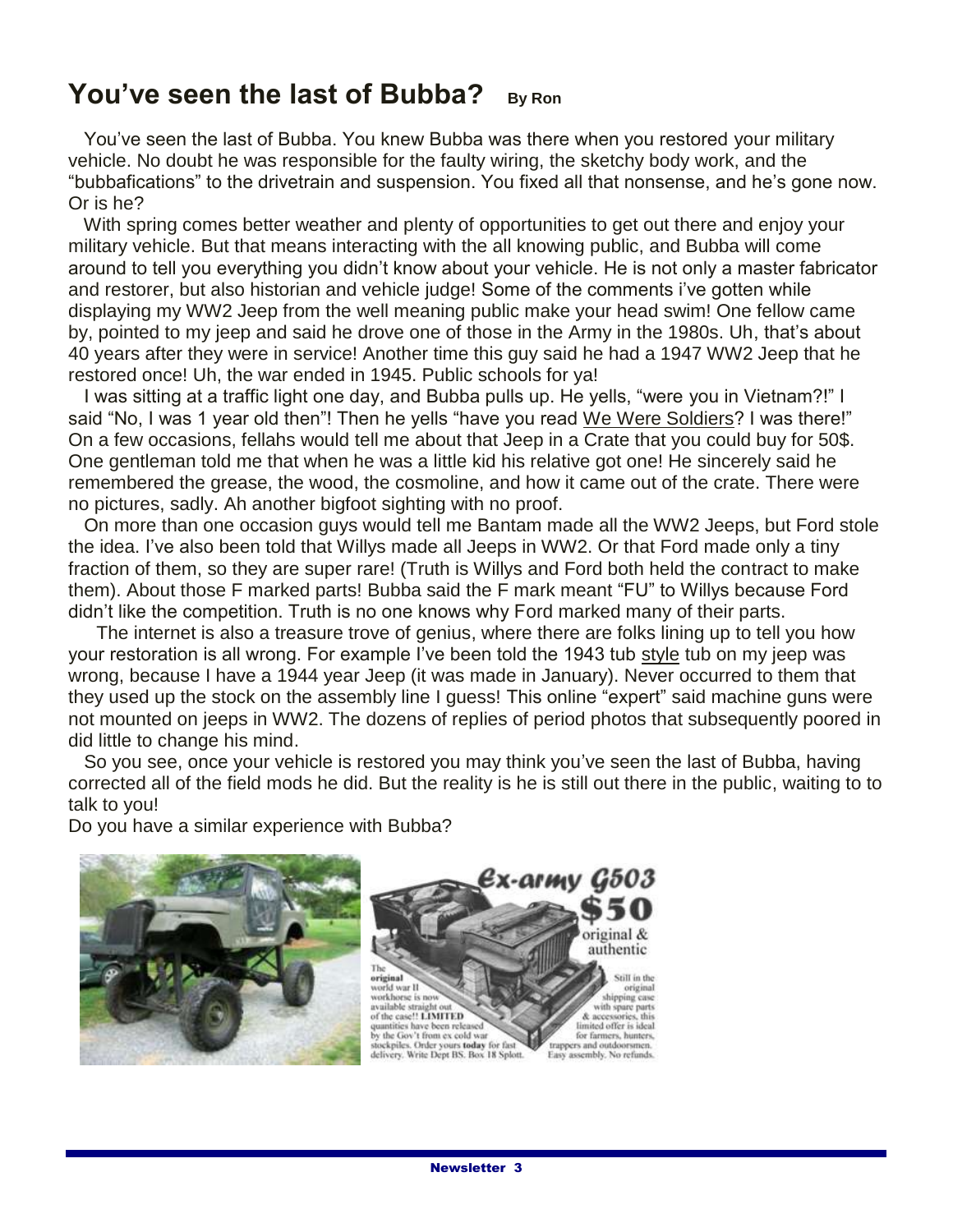# **You've seen the last of Bubba? By Ron**

 You've seen the last of Bubba. You knew Bubba was there when you restored your military vehicle. No doubt he was responsible for the faulty wiring, the sketchy body work, and the "bubbafications" to the drivetrain and suspension. You fixed all that nonsense, and he's gone now. Or is he?

 With spring comes better weather and plenty of opportunities to get out there and enjoy your military vehicle. But that means interacting with the all knowing public, and Bubba will come around to tell you everything you didn't know about your vehicle. He is not only a master fabricator and restorer, but also historian and vehicle judge! Some of the comments i've gotten while displaying my WW2 Jeep from the well meaning public make your head swim! One fellow came by, pointed to my jeep and said he drove one of those in the Army in the 1980s. Uh, that's about 40 years after they were in service! Another time this guy said he had a 1947 WW2 Jeep that he restored once! Uh, the war ended in 1945. Public schools for ya!

 I was sitting at a traffic light one day, and Bubba pulls up. He yells, "were you in Vietnam?!" I said "No, I was 1 year old then"! Then he yells "have you read We Were Soldiers? I was there!" On a few occasions, fellahs would tell me about that Jeep in a Crate that you could buy for 50\$. One gentleman told me that when he was a little kid his relative got one! He sincerely said he remembered the grease, the wood, the cosmoline, and how it came out of the crate. There were no pictures, sadly. Ah another bigfoot sighting with no proof.

 On more than one occasion guys would tell me Bantam made all the WW2 Jeeps, but Ford stole the idea. I've also been told that Willys made all Jeeps in WW2. Or that Ford made only a tiny fraction of them, so they are super rare! (Truth is Willys and Ford both held the contract to make them). About those F marked parts! Bubba said the F mark meant "FU" to Willys because Ford didn't like the competition. Truth is no one knows why Ford marked many of their parts.

The internet is also a treasure trove of genius, where there are folks lining up to tell you how your restoration is all wrong. For example I've been told the 1943 tub style tub on my jeep was wrong, because I have a 1944 year Jeep (it was made in January). Never occurred to them that they used up the stock on the assembly line I guess! This online "expert" said machine guns were not mounted on jeeps in WW2. The dozens of replies of period photos that subsequently poored in did little to change his mind.

 So you see, once your vehicle is restored you may think you've seen the last of Bubba, having corrected all of the field mods he did. But the reality is he is still out there in the public, waiting to to talk to you!

Do you have a similar experience with Bubba?